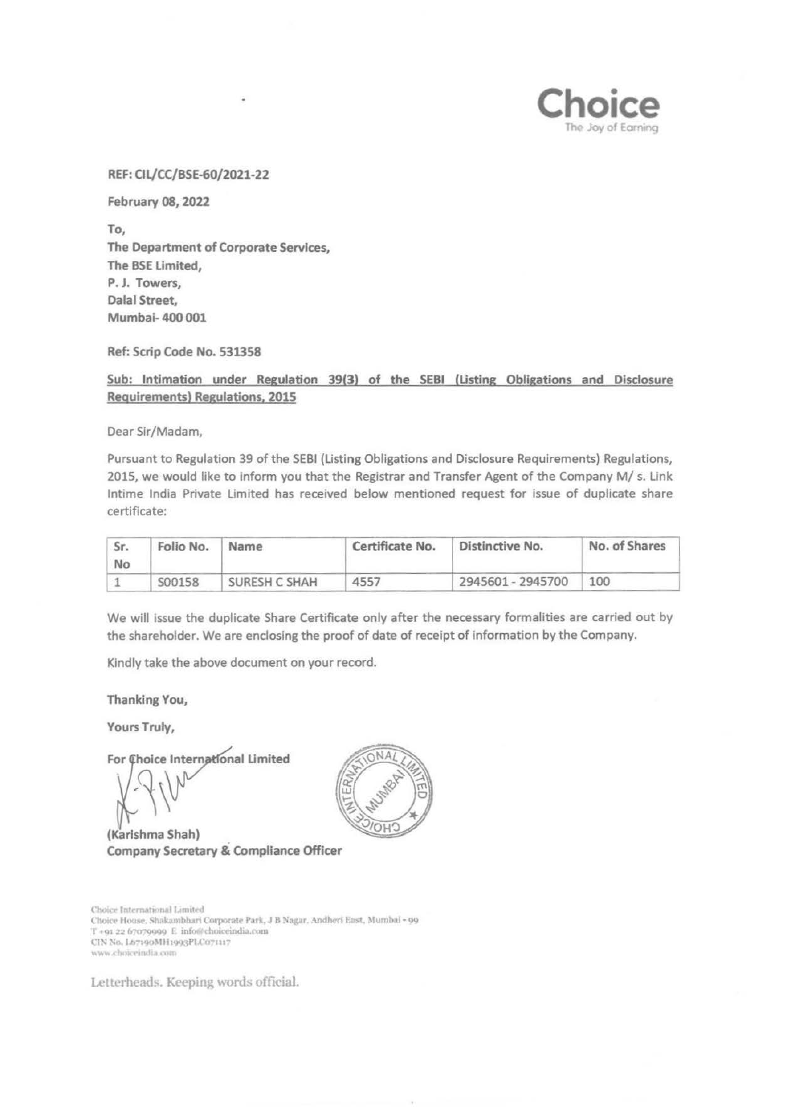REF: Cll/CC/BSE-60/2021-22

February 08, 2022

To, The Department of Corporate Services, The BSE Limited, P. J. Towers, Dalal Street, Mumbai- 400 001

Ref: Scrip Code No. 531358

Sub: Intimation under Regulation 39(3) of the SEBI (Usting Obligations and Disclosure Requirements) Regulations, 2015

Dear Sir/Madam,

Pursuant to Regulation 39 of the SEBI (Listing Obligations and Disclosure Requirements) Regulations, 2015, we would like to inform you that the Registrar and Transfer Agent of the Company M/ s. Link lntime India Private Limited has received below mentioned request for issue of duplicate share certificate:

| Sr.<br>No | Folio No. | Name          | Certificate No. | Distinctive No.   | No. of Shares |
|-----------|-----------|---------------|-----------------|-------------------|---------------|
|           | S00158    | SURESH C SHAH | 4557            | 2945601 - 2945700 | 100           |

We will issue the duplicate Share Certificate only after the necessary formalities are carried out by the shareholder. We are enclosing the proof of date of receipt of information by the Company.

Kindly take the above document on your record.

Thanking You,

Yours Truly,

For Choice International Limited

 $1/\Omega_{\rm v}$ 

(Karishma Shah) Company Secretary & Compliance Officer

Choice International Limited Choice House, Shakambhari Corporate Park, J B Nagar. Andheri East, Mumbal - 99 T +91 22 67079999 E info@choiceindia.com CIN No. Lb7190MH1993PLC071117 www.choiceindia.com

Letterheads. Keeping words official.